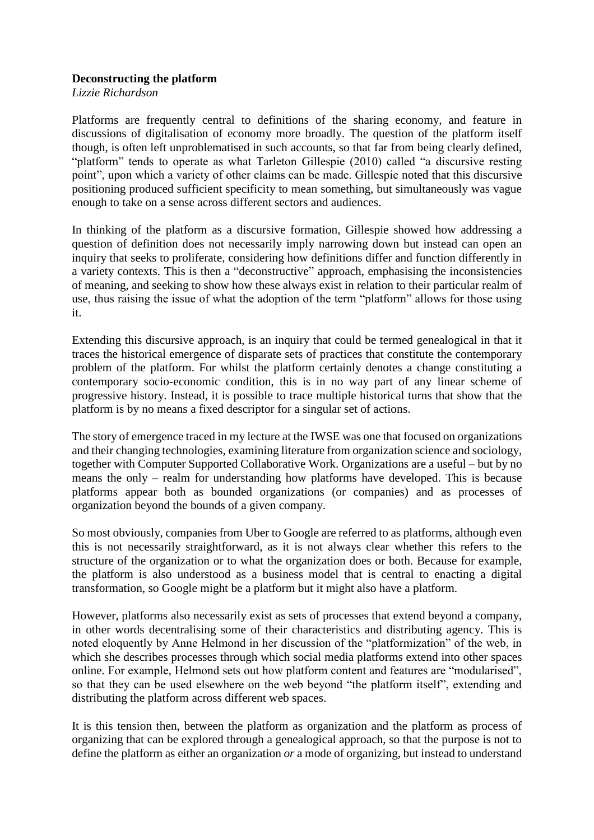## **Deconstructing the platform**

*Lizzie Richardson*

Platforms are frequently central to definitions of the sharing economy, and feature in discussions of digitalisation of economy more broadly. The question of the platform itself though, is often left unproblematised in such accounts, so that far from being clearly defined, "platform" tends to operate as what Tarleton Gillespie (2010) called "a discursive resting point", upon which a variety of other claims can be made. Gillespie noted that this discursive positioning produced sufficient specificity to mean something, but simultaneously was vague enough to take on a sense across different sectors and audiences.

In thinking of the platform as a discursive formation, Gillespie showed how addressing a question of definition does not necessarily imply narrowing down but instead can open an inquiry that seeks to proliferate, considering how definitions differ and function differently in a variety contexts. This is then a "deconstructive" approach, emphasising the inconsistencies of meaning, and seeking to show how these always exist in relation to their particular realm of use, thus raising the issue of what the adoption of the term "platform" allows for those using it.

Extending this discursive approach, is an inquiry that could be termed genealogical in that it traces the historical emergence of disparate sets of practices that constitute the contemporary problem of the platform. For whilst the platform certainly denotes a change constituting a contemporary socio-economic condition, this is in no way part of any linear scheme of progressive history. Instead, it is possible to trace multiple historical turns that show that the platform is by no means a fixed descriptor for a singular set of actions.

The story of emergence traced in my lecture at the IWSE was one that focused on organizations and their changing technologies, examining literature from organization science and sociology, together with Computer Supported Collaborative Work. Organizations are a useful – but by no means the only – realm for understanding how platforms have developed. This is because platforms appear both as bounded organizations (or companies) and as processes of organization beyond the bounds of a given company.

So most obviously, companies from Uber to Google are referred to as platforms, although even this is not necessarily straightforward, as it is not always clear whether this refers to the structure of the organization or to what the organization does or both. Because for example, the platform is also understood as a business model that is central to enacting a digital transformation, so Google might be a platform but it might also have a platform.

However, platforms also necessarily exist as sets of processes that extend beyond a company, in other words decentralising some of their characteristics and distributing agency. This is noted eloquently by Anne Helmond in her discussion of the "platformization" of the web, in which she describes processes through which social media platforms extend into other spaces online. For example, Helmond sets out how platform content and features are "modularised", so that they can be used elsewhere on the web beyond "the platform itself", extending and distributing the platform across different web spaces.

It is this tension then, between the platform as organization and the platform as process of organizing that can be explored through a genealogical approach, so that the purpose is not to define the platform as either an organization *or* a mode of organizing, but instead to understand